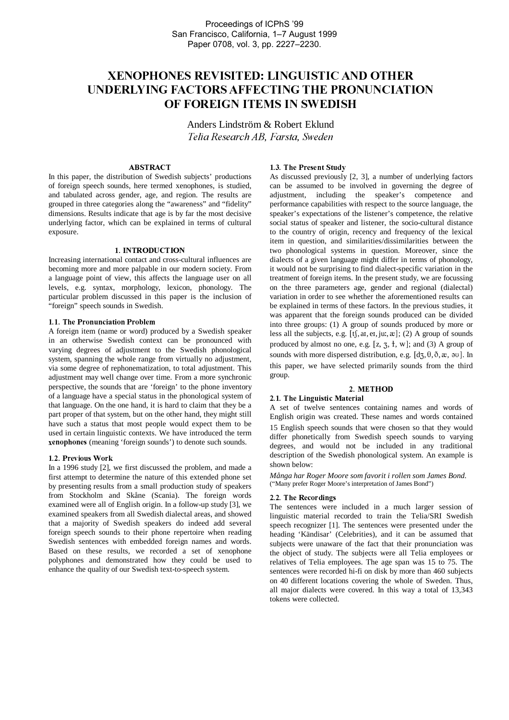# -- - - "!- #\$---%-# # & ' 
-(-\* - - \* - - \* - - - - - \* - - \* \* - - - - \*

Anders Lindström & Robert Eklund Telia Research AB, Farsta, Sweden

## **ABSTRACT**

In this paper, the distribution of Swedish subjects' productions of foreign speech sounds, here termed xenophones, is studied, and tabulated across gender, age, and region. The results are grouped in three categories along the "awareness" and "fidelity" dimensions. Results indicate that age is by far the most decisive underlying factor, which can be explained in terms of cultural exposure.

# 1. INTRODUCTION

Increasing international contact and cross-cultural influences are becoming more and more palpable in our modern society. From a language point of view, this affects the language user on all levels, e.g. syntax, morphology, lexicon, phonology. The particular problem discussed in this paper is the inclusion of "foreign" speech sounds in Swedish.

## 1.1. The Pronunciation Problem

A foreign item (name or word) produced by a Swedish speaker in an otherwise Swedish context can be pronounced with varying degrees of adjustment to the Swedish phonological system, spanning the whole range from virtually no adjustment, via some degree of rephonematization, to total adjustment. This adjustment may well change over time. From a more synchronic perspective, the sounds that are 'foreign' to the phone inventory of a language have a special status in the phonological system of that language. On the one hand, it is hard to claim that they be a part proper of that system, but on the other hand, they might still have such a status that most people would expect them to be used in certain linguistic contexts. We have introduced the term xenophones (meaning 'foreign sounds') to denote such sounds.

#### z <del>a wa</del> week were allowed the second the second terms of the second terms of the second terms of the second terms of the second terms of the second terms of the second terms of the second terms of the second terms of the

In a 1996 study [2], we first discussed the problem, and made a first attempt to determine the nature of this extended phone set by presenting results from a small production study of speakers from Stockholm and Skåne (Scania). The foreign words examined were all of English origin. In a follow-up study [3], we examined speakers from all Swedish dialectal areas, and showed that a majority of Swedish speakers do indeed add several foreign speech sounds to their phone repertoire when reading Swedish sentences with embedded foreign names and words. Based on these results, we recorded a set of xenophone polyphones and demonstrated how they could be used to enhance the quality of our Swedish text-to-speech system.

#### $\mathcal{L}$  and  $\mathcal{L}$  and  $\mathcal{L}$  and  $\mathcal{L}$  and  $\mathcal{L}$  and  $\mathcal{L}$  and  $\mathcal{L}$  and  $\mathcal{L}$  and  $\mathcal{L}$  and  $\mathcal{L}$  and  $\mathcal{L}$  and  $\mathcal{L}$  and  $\mathcal{L}$  and  $\mathcal{L}$  and  $\mathcal{L}$  and  $\mathcal{L}$  and  $\mathcal{L}$  and

As discussed previously [2, 3], a number of underlying factors can be assumed to be involved in governing the degree of adjustment, including the speaker's competence and performance capabilities with respect to the source language, the speaker's expectations of the listener's competence, the relative social status of speaker and listener, the socio-cultural distance to the country of origin, recency and frequency of the lexical item in question, and similarities/dissimilarities between the two phonological systems in question. Moreover, since the dialects of a given language might differ in terms of phonology, it would not be surprising to find dialect-specific variation in the treatment of foreign items. In the present study, we are focussing on the three parameters age, gender and regional (dialectal) variation in order to see whether the aforementioned results can be explained in terms of these factors. In the previous studies, it was apparent that the foreign sounds produced can be divided into three groups: (1) A group of sounds produced by more or less all the subjects, e.g.  $[t, a, e, j, u, \mathcal{X}]$ ; (2) A group of sounds produced by almost no one, e.g.  $[z, 3, t, w]$ ; and (3) A group of sounds with more dispersed distribution, e.g.  $[d\overline{z}, \theta, \delta, \overline{x}, \partial u]$ . In this paper, we have selected primarily sounds from the third group.

#### 2. METHOD

# 2.1. The Linguistic Material

A set of twelve sentences containing names and words of English origin was created These names and words contained 15 English speech sounds that were chosen so that they would differ phonetically from Swedish speech sounds to varying degrees, and would not be included in any traditional description of the Swedish phonological system. An example is shown below:

*Många har Roger Moore som favorit i rollen som James Bond.* ("Many prefer Roger Moore's interpretation of James Bond")

#### $\blacksquare$  and  $\blacksquare$

The sentences were included in a much larger session of linguistic material recorded to train the Telia/SRI Swedish speech recognizer [1]. The sentences were presented under the heading 'Kändisar' (Celebrities), and it can be assumed that subjects were unaware of the fact that their pronunciation was the object of study. The subjects were all Telia employees or relatives of Telia employees. The age span was 15 to 75. The sentences were recorded hi-fi on disk by more than 460 subjects on 40 different locations covering the whole of Sweden. Thus, all major dialects were covered. In this way a total of 13,343 tokens were collected.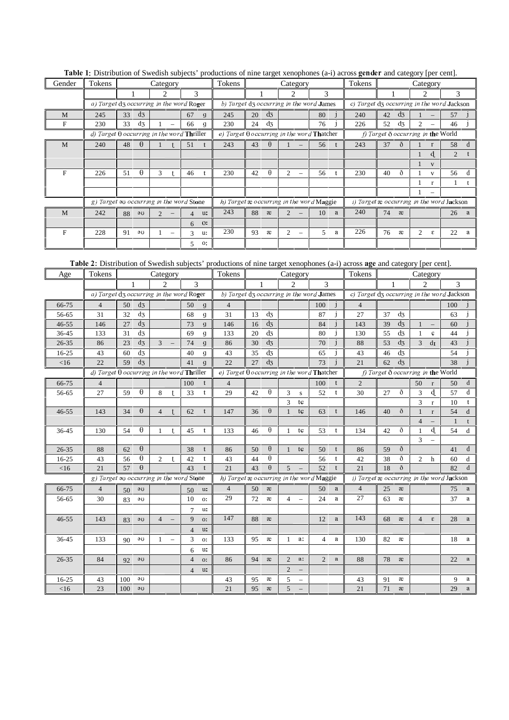| Gender | Tokens                                                   |    |          | Category                    |                          |                |              | Tokens                                                   |                                           |          | Category                                 |    |   | Tokens                                        |    |            | - J - L I                   | Category                 |    |   |
|--------|----------------------------------------------------------|----|----------|-----------------------------|--------------------------|----------------|--------------|----------------------------------------------------------|-------------------------------------------|----------|------------------------------------------|----|---|-----------------------------------------------|----|------------|-----------------------------|--------------------------|----|---|
|        |                                                          |    |          | $\mathcal{D}_{\mathcal{L}}$ |                          | 3              |              |                                                          |                                           |          |                                          | 3  |   |                                               |    |            | $\mathcal{D}_{\mathcal{L}}$ |                          | 3  |   |
|        | a) Target d3 occurring in the word Roger                 |    |          |                             |                          |                |              |                                                          |                                           |          | b) Target dz occurring in the word James |    |   | c) Target $d_3$ occurring in the word Jackson |    |            |                             |                          |    |   |
| M      | 245                                                      | 33 | $d_3$    |                             |                          | 67             | $\mathbf{q}$ | 245                                                      | 20                                        | $d_3$    |                                          | 80 |   | 240                                           | 42 | $d_3$      |                             |                          | 57 |   |
| F      | 230                                                      | 33 | $d_3$    |                             | $\overline{\phantom{0}}$ | 66             | q            | 230                                                      | 24                                        | $d_3$    |                                          | 76 |   | 226                                           | 52 | $d_3$      | $\mathfrak{D}$              |                          | 46 |   |
|        | d) Target $\theta$ occurring in the word <b>Thriller</b> |    |          |                             |                          |                |              | e) Target $\theta$ occurring in the word <b>Thatcher</b> | f) Target $\delta$ occurring in the World |          |                                          |    |   |                                               |    |            |                             |                          |    |   |
| M      | 240                                                      | 48 | $\theta$ |                             |                          | 51             |              | 243                                                      | 43                                        | $\theta$ |                                          | 56 |   | 243                                           | 37 | $^{\circ}$ |                             |                          | 58 |   |
|        |                                                          |    |          |                             |                          |                |              |                                                          |                                           |          |                                          |    |   |                                               |    |            |                             | q.                       | 2  |   |
|        |                                                          |    |          |                             |                          |                |              |                                                          |                                           |          |                                          |    |   |                                               |    |            |                             | $\mathbf{V}$             |    |   |
| F      | 226                                                      | 51 | $\theta$ | 3                           |                          | 46             |              | 230                                                      | 42                                        | $\theta$ | 2                                        | 56 |   | 230                                           | 40 | ð          |                             | $\mathbf{V}$             | 56 | d |
|        |                                                          |    |          |                             |                          |                |              |                                                          |                                           |          |                                          |    |   |                                               |    |            |                             | $\mathbf{r}$             |    |   |
|        |                                                          |    |          |                             |                          |                |              |                                                          |                                           |          |                                          |    |   |                                               |    |            |                             | $\overline{\phantom{m}}$ |    |   |
|        | g) Target an occurring in the word Stone                 |    |          |                             |                          |                |              |                                                          |                                           |          | h) Target a occurring in the word Maggie |    |   | i) Target æ occurring in the word Jackson     |    |            |                             |                          |    |   |
| M      | 242                                                      | 88 | 30       |                             |                          | $\overline{4}$ | u:           | 243                                                      | 88                                        | æ        |                                          | 10 | a | 240                                           | 74 | æ          |                             |                          | 26 | a |
|        |                                                          |    |          |                             |                          | 6              | $O$ :        |                                                          |                                           |          |                                          |    |   |                                               |    |            |                             |                          |    |   |
| F      | 228                                                      | 91 | 30       |                             |                          | $\mathcal{R}$  | u:           | 230                                                      | 93                                        | æ        | $\mathfrak{D}$                           | 5  | a | 226                                           | 76 | æ          | $\mathfrak{D}$              | £.                       | 22 | а |
|        |                                                          |    |          |                             |                          | 5              | О.           |                                                          |                                           |          |                                          |    |   |                                               |    |            |                             |                          |    |   |

Table 1: Distribution of Swedish subjects' productions of nine target xenophones (a-i) across gender and category [per cent].

Table 2: Distribution of Swedish subjects' productions of nine target xenophones (a-i) across age and category [per cent].

| Age       | Tokens                                            |                                          | Category                    |                          |                |                | Tokens                                            |    |                     | Category               |                          |                |   | Tokens                                     |    |                | Category               |                   |                                              |              |
|-----------|---------------------------------------------------|------------------------------------------|-----------------------------|--------------------------|----------------|----------------|---------------------------------------------------|----|---------------------|------------------------|--------------------------|----------------|---|--------------------------------------------|----|----------------|------------------------|-------------------|----------------------------------------------|--------------|
|           |                                                   | 1                                        | $\mathcal{D}_{\mathcal{L}}$ |                          | 3              |                |                                                   | 1  |                     | $\mathcal{D}_{\alpha}$ |                          | $\mathcal{F}$  |   |                                            |    |                | $\mathcal{D}_{\alpha}$ |                   | 3                                            |              |
|           | a) Target d3 occurring in the word Roger          |                                          |                             |                          |                |                | b) Target dz occurring in the word James          |    |                     |                        |                          |                |   | c) Target dz occurring in the word Jackson |    |                |                        |                   |                                              |              |
| 66-75     | $\overline{4}$                                    | $d_3$<br>50                              |                             |                          | 50             | $\mathfrak{g}$ | $\overline{4}$                                    |    |                     |                        |                          | 100            |   | $\overline{4}$                             |    |                |                        |                   | 100                                          |              |
| 56-65     | 31                                                | $d_3$<br>32                              |                             |                          | 68             | $\mathfrak{g}$ | 31                                                | 13 | $d_3$               |                        |                          | 87             |   | 27                                         | 37 | $d_3$          |                        |                   | 63                                           |              |
| $46 - 55$ | 146                                               | $d_3$<br>27                              |                             |                          | 73             | $\mathbf{g}$   | 146                                               | 16 | $d_3$               |                        |                          | 84             |   | 143                                        | 39 | $d_3$          | $\mathbf{1}$           | $\qquad \qquad -$ | 60                                           |              |
| 36-45     | 133                                               | $d_3$<br>31                              |                             |                          | 69             | $\mathfrak{g}$ | 133                                               | 20 | $d_3$               |                        |                          | 80             |   | 130                                        | 55 | $d_3$          | $\mathbf{1}$           | C                 | 44                                           |              |
| $26 - 35$ | 86                                                | $d_3$<br>23                              | $\overline{3}$              |                          | 74             | $\mathbf{g}$   | 86                                                | 30 | $d_3$               |                        |                          | 70             |   | 88                                         | 53 | $d_3$          | 3                      | dI                | 43                                           |              |
| $16-25$   | 43                                                | $d_3$<br>60                              |                             |                          | 40             | g              | 43                                                | 35 | $d_3$               |                        |                          | 65             |   | 43                                         | 46 | $d_3$          |                        |                   | 54                                           |              |
| $<$ 16    | 22                                                | d <sub>5</sub><br>59                     |                             |                          | 41             | $\mathfrak{g}$ | 22                                                | 27 | d <sub>z</sub>      |                        |                          | 73             |   | 21                                         | 62 | d <sub>5</sub> |                        |                   | 38                                           |              |
|           | d) Target $\theta$ occurring in the word Thriller |                                          |                             |                          |                |                | e) Target $\theta$ occurring in the word Thatcher |    |                     |                        |                          |                |   |                                            |    |                |                        |                   | $f$ ) Target $\delta$ occurring in the World |              |
| 66-75     | $\overline{4}$                                    |                                          |                             |                          | 100            |                | 4                                                 |    |                     |                        |                          | 100            |   | 2                                          |    |                | 50                     | $\bf r$           | 50                                           | $\mathbf d$  |
| 56-65     | 27                                                | θ<br>59                                  | 8                           | t                        | 33             | t              | 29                                                | 42 | $\theta$            | 3                      | ${\bf S}$                | 52             |   | 30                                         | 27 | ð              | 3                      | d.                | 57                                           | d            |
|           |                                                   |                                          |                             |                          |                |                |                                                   |    |                     | 3                      | tc                       |                |   |                                            |    |                | 3                      | $\mathbf r$       | 10                                           | t            |
| $46 - 55$ | 143                                               | $\theta$<br>34                           | $\overline{4}$              | t.                       | 62             |                | 147                                               | 36 | $\theta$            | $\mathbf{1}$           | tc                       | 63             |   | 146                                        | 40 | ð              | $\mathbf{1}$           | $\mathbf{r}$      | 54                                           | $\rm d$      |
|           |                                                   |                                          |                             |                          |                |                |                                                   |    |                     |                        |                          |                |   |                                            |    |                | $\overline{4}$         |                   | 1                                            | t            |
| 36-45     | 130                                               | $\theta$<br>54                           | 1                           | t                        | 45             | t              | 133                                               | 46 | $\theta$            | $\mathbf{1}$           | tc                       | 53             | t | 134                                        | 42 | ð              | 1                      | d                 | 54                                           | d            |
|           |                                                   |                                          |                             |                          |                |                |                                                   |    |                     |                        |                          |                |   |                                            |    |                | 3                      |                   |                                              |              |
| $26 - 35$ | 88                                                | $\theta$<br>62                           |                             |                          | 38             | t              | 86                                                | 50 | $\theta$            | $\mathbf{1}$           | tc                       | 50             | t | 86                                         | 59 | ð              |                        |                   | 41                                           | $\mathbf d$  |
| $16-25$   | 43                                                | $\theta$<br>56                           | $\overline{c}$              | t.                       | 42             | t              | 43                                                | 44 | θ                   |                        |                          | 56             |   | 42                                         | 38 | ð              | $\overline{2}$         | h                 | 60                                           | d            |
| $<$ 16    | 21                                                | $\theta$<br>57                           |                             |                          | 43             | t              | 21                                                | 43 | $\theta$            | $\overline{5}$         |                          | 52             |   | 21                                         | 18 | ð              |                        |                   | 82                                           | $\mathbf d$  |
|           |                                                   | g) Target au occurring in the word Stone |                             |                          |                |                | h) Target æ occurring in the word Maggie          |    |                     |                        |                          |                |   | i) Target æ occurring in the word Jackson  |    |                |                        |                   |                                              |              |
| 66-75     | $\overline{4}$                                    | эU<br>50                                 |                             |                          | 50             | u:             | $\overline{4}$                                    | 50 | $\mathcal{X}% _{0}$ |                        |                          | 50             | a | $\overline{4}$                             | 25 | $\mathcal X$   |                        |                   | 75                                           | a            |
| 56-65     | 30                                                | эU<br>83                                 |                             |                          | 10             | O <sub>i</sub> | 29                                                | 72 | æ                   | $\overline{4}$         | $\equiv$                 | 24             | a | 27                                         | 63 | æ              |                        |                   | 37                                           | $\mathbf{a}$ |
|           |                                                   |                                          |                             |                          | 7              | u:             |                                                   |    |                     |                        |                          |                |   |                                            |    |                |                        |                   |                                              |              |
| $46 - 55$ | 143                                               | 83<br>90                                 | $\overline{4}$              |                          | 9              | O <sub>i</sub> | 147                                               | 88 | æ                   |                        |                          | 12             | a | 143                                        | 68 | æ              | $\overline{4}$         | $\epsilon$        | 28                                           | a            |
|           |                                                   |                                          |                             |                          | $\overline{4}$ | u:             |                                                   |    |                     |                        |                          |                |   |                                            |    |                |                        |                   |                                              |              |
| 36-45     | 133                                               | эU<br>90                                 | 1                           | $\overline{\phantom{0}}$ | 3              | O <sub>i</sub> | 133                                               | 95 | æ                   | $\mathbf{1}$           | a:                       | $\overline{4}$ | a | 130                                        | 82 | æ              |                        |                   | 18                                           | a            |
|           |                                                   |                                          |                             |                          | 6              | u:             |                                                   |    |                     |                        |                          |                |   |                                            |    |                |                        |                   |                                              |              |
| $26 - 35$ | 84                                                | 92<br>9U                                 |                             |                          | $\overline{4}$ | O <sub>i</sub> | 86                                                | 94 | æ                   | $\overline{2}$         | a:                       | $\overline{2}$ | a | 88                                         | 78 | æ              |                        |                   | 22                                           | a            |
|           |                                                   |                                          |                             |                          | $\overline{4}$ | u:             |                                                   |    |                     | $\sqrt{2}$             | $\overline{\phantom{0}}$ |                |   |                                            |    |                |                        |                   |                                              |              |
| $16 - 25$ | 43                                                | 100<br>9U                                |                             |                          |                |                | 43                                                | 95 | æ                   | 5                      | $\overline{\phantom{0}}$ |                |   | 43                                         | 91 | æ              |                        |                   | 9                                            | $\mathbf{a}$ |
| $<$ 16    | 23                                                | 100<br>9U                                |                             |                          |                |                | 21                                                | 95 | $\mathcal{X}% _{0}$ | 5                      |                          |                |   | 21                                         | 71 | æ              |                        |                   | 29                                           | a            |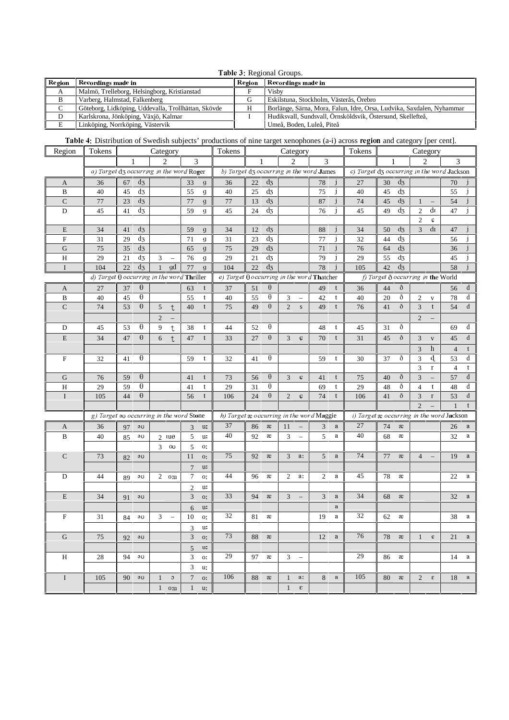|  |  | Table 3: Regional Groups. |  |
|--|--|---------------------------|--|
|--|--|---------------------------|--|

| Region          | Recordings made in                                  | Region | Recordings made in                                                    |
|-----------------|-----------------------------------------------------|--------|-----------------------------------------------------------------------|
| A               | Malmö, Trelleborg, Helsingborg, Kristianstad        |        | Vishy                                                                 |
| B               | Varberg, Halmstad, Falkenberg                       |        | Eskilstuna, Stockholm, Västerås, Örebro                               |
| $\sqrt{ }$<br>◡ | Göteborg, Lidköping, Uddevalla, Trollhättan, Skövde |        | Borlänge, Särna, Mora, Falun, Idre, Orsa, Ludvika, Saxdalen, Nyhammar |
| D               | Karlskrona, Jönköping, Växjö, Kalmar                |        | Hudiksvall, Sundsvall, Örnsköldsvik, Östersund, Skellefteå,           |
| E               | Linköping, Norrköping, Västervik                    |        | Umeå, Boden, Luleå, Piteå                                             |

Table 4: Distribution of Swedish subjects' productions of nine target xenophones (a-i) across region and category [per cent].

| Region        | Tokens                                                       |    |                             | Category       |                          |                     |                     | Tokens                                            |    |                  |                | Category                 |                |              | <b>Table 4:</b> Distribution of Swedish subjects -productions of fine target xenophones (a-f) across region and category [per cent].<br>Tokens |                                 |                                     |                |                          |                                           |          |
|---------------|--------------------------------------------------------------|----|-----------------------------|----------------|--------------------------|---------------------|---------------------|---------------------------------------------------|----|------------------|----------------|--------------------------|----------------|--------------|------------------------------------------------------------------------------------------------------------------------------------------------|---------------------------------|-------------------------------------|----------------|--------------------------|-------------------------------------------|----------|
|               |                                                              |    |                             | $\mathfrak{D}$ |                          | 3                   |                     |                                                   |    |                  |                | $\overline{c}$           | 3              |              |                                                                                                                                                | Category<br>$\mathfrak{D}$<br>3 |                                     |                |                          |                                           |          |
|               | a) Target d3 occurring in the word Roger                     |    |                             |                |                          |                     |                     | b) Target d3 occurring in the word James          |    |                  |                |                          |                |              | c) Target d3 occurring in the word Jackson                                                                                                     |                                 |                                     |                |                          |                                           |          |
| A             | 36                                                           | 67 | $d_3$                       |                |                          | 33                  | g                   | 36                                                | 22 | $d_3$            |                |                          | 78             | $\mathbf{1}$ | 27                                                                                                                                             | 30                              | $d_3$                               |                |                          | 70                                        |          |
| $\, {\bf B}$  | 40                                                           | 45 | $d_3$                       |                |                          | 55                  | $\mathfrak{g}$      | 40                                                | 25 | $\overline{d_5}$ |                |                          | 75             |              | 40                                                                                                                                             | 45                              | $d_3$                               |                |                          | 55                                        |          |
| $\mathsf C$   | 77                                                           | 23 | $d_3$                       |                |                          | $77\,$              | $\boldsymbol{g}$    | 77                                                | 13 | $d_3$            |                |                          | 87             |              | 74                                                                                                                                             | 45                              | $d_3$                               | $\mathbf{1}$   |                          | 54                                        |          |
| $\mathbf D$   | 45                                                           | 41 | $d_3$                       |                |                          | 59                  | g                   | 45                                                | 24 | $d_3$            |                |                          | 76             |              | 45                                                                                                                                             | 49                              | $d_3$                               | $\overline{2}$ | $d$ I                    | 47                                        |          |
|               |                                                              |    |                             |                |                          |                     |                     |                                                   |    |                  |                |                          |                |              |                                                                                                                                                |                                 |                                     | $\overline{2}$ | ¢                        |                                           |          |
| $\mathbf E$   | 34                                                           | 41 | $d_3$                       |                |                          | 59                  | g                   | 34                                                | 12 | $d_3$            |                |                          | 88             |              | 34                                                                                                                                             | 50                              | $d_3$                               | $\mathfrak{Z}$ | dı                       | 47                                        |          |
| ${\bf F}$     | 31                                                           | 29 | $d_3$                       |                |                          | 71                  | g                   | 31                                                | 23 | $d_3$            |                |                          | 77             |              | 32                                                                                                                                             | 44                              | $d_3$                               |                |                          | 56                                        |          |
| $\mathbf G$   | 75                                                           | 35 | $d_3$                       |                |                          | 65                  | $\boldsymbol{g}$    | 75                                                | 29 | $\overline{d_3}$ |                |                          | 71             |              | 76                                                                                                                                             | 64                              | $d_3$                               |                |                          | 36                                        |          |
| H             | 29                                                           | 21 | $d_3$                       | 3              |                          | 76                  | g                   | 29                                                | 21 | $d_3$            |                |                          | 79             |              | 29                                                                                                                                             | 55                              | $d_3$                               |                |                          | 45                                        |          |
| $\rm I$       | 104                                                          | 22 | $\overline{d_3}$            | $\mathbf{1}$   | gd                       | 77                  | $\mathfrak{g}$      | 104                                               | 22 | $\overline{d_3}$ |                |                          | 78             |              | 105                                                                                                                                            | 42                              | $\overline{d_3}$                    |                |                          | 58                                        |          |
|               | d) Target $\overline{\theta}$ occurring in the word Thriller |    |                             |                |                          |                     |                     | e) Target $\theta$ occurring in the word Thatcher |    |                  |                |                          |                |              |                                                                                                                                                |                                 |                                     |                |                          | f) Target $\delta$ occurring in the World |          |
| A             | $27\,$                                                       | 37 | $\theta$                    |                |                          | 63                  | t                   | 37                                                | 51 | θ                |                |                          | 49             | t            | 36                                                                                                                                             | 44                              | ð                                   |                |                          | 56                                        | d        |
| B             | 40                                                           | 45 | $\theta$                    |                |                          | 55                  | t                   | 40                                                | 55 | θ                | 3              | $\qquad \qquad -$        | 42             | t            | 40                                                                                                                                             | 20                              | ð                                   | $\overline{c}$ | $\mathbf{V}$             | 78                                        | d        |
| ${\bf C}$     | 74                                                           | 53 | $\theta$                    | 5              | t                        | 40                  | t                   | 75                                                | 49 | θ                | $\overline{2}$ | $\mathbf S$              | 49             | t            | 76                                                                                                                                             | 41                              | ð                                   | 3              | t                        | 54                                        | d        |
|               |                                                              |    |                             | $\overline{2}$ |                          |                     |                     |                                                   |    |                  |                |                          |                |              |                                                                                                                                                |                                 |                                     | $\overline{2}$ |                          |                                           |          |
| $\mathbf D$   | 45                                                           | 53 | θ                           | 9              | $\mathsf t$              | 38                  | t                   | 44                                                | 52 | θ                |                |                          | 48             | t            | 45                                                                                                                                             | 31                              | ð                                   |                |                          | 69                                        | d        |
| ${\bf E}$     | 34                                                           | 47 | $\theta$                    | 6              | $\ddagger$               | 47                  | t                   | 33                                                | 27 | θ                | $\mathfrak{Z}$ | Ç                        | 70             | t            | 31                                                                                                                                             | 45                              | ð                                   | 3              | $\mathbf{V}$             | 45                                        | d        |
|               |                                                              |    |                             |                |                          |                     |                     |                                                   |    |                  |                |                          |                |              |                                                                                                                                                |                                 |                                     | 3              | h                        | $\overline{4}$                            |          |
| $\mathbf F$   | 32                                                           | 41 | θ                           |                |                          | 59                  | t                   | 32                                                | 41 | θ                |                |                          | 59             | t            | 30                                                                                                                                             | 37                              | ð                                   | 3              | d.                       | 53                                        | d        |
|               |                                                              |    |                             |                |                          |                     |                     |                                                   |    |                  |                |                          |                |              |                                                                                                                                                |                                 |                                     | 3              | $\mathbf r$              | $\overline{4}$                            |          |
| ${\bf G}$     | 76                                                           | 59 | $\theta$                    |                |                          | 41                  | t                   | 73                                                | 56 | $\theta$         | 3              | ¢                        | 41             | t            | 75                                                                                                                                             | 40                              | ð                                   | $\mathfrak 3$  |                          | 57                                        | d        |
| $\, {\rm H}$  | 29                                                           | 59 | $\theta$                    |                |                          | 41                  | t                   | 29                                                | 31 | $\theta$         |                |                          | 69             | t            | 29                                                                                                                                             | 48                              | ð                                   | $\overline{4}$ | $\mathbf{t}$             | 48                                        | d        |
| $\rm I$       | 105                                                          | 44 | $\theta$                    |                |                          | 56                  |                     | 106                                               | 24 | $\theta$         | $\overline{2}$ | Ç                        | 74             | t            | 106                                                                                                                                            | 41                              | ð                                   | $\mathfrak{Z}$ | $\Gamma$                 | 53                                        | d        |
|               |                                                              |    |                             |                |                          |                     |                     |                                                   |    |                  |                |                          |                |              |                                                                                                                                                |                                 |                                     | $\overline{c}$ |                          | $\mathbf{1}$                              | t        |
|               | g) Target so occurring in the word Stone                     |    |                             |                |                          |                     |                     | h) Target æ occurring in the word Maggie          |    |                  |                |                          |                |              | i) Target $x$ occurring in the word Jackson                                                                                                    |                                 |                                     |                |                          |                                           |          |
| A             | 36                                                           | 97 | $\mathfrak{g}_{\mathbf{U}}$ |                |                          | 3                   | u:                  | 37                                                | 86 | $\rm \approx$    | 11             | $\overline{\phantom{a}}$ | 3              | a            | 27                                                                                                                                             | 74                              | $\mathcal{X}% _{0}=\mathcal{X}_{0}$ |                |                          | 26                                        | $\rm{a}$ |
| $\, {\bf B}$  | 40                                                           | 85 | эU                          | $2 \mu$        |                          | 5                   | u:                  | 40                                                | 92 | æ                | 3              | $\overline{\phantom{0}}$ | 5              | $\mathbf a$  | 40                                                                                                                                             | 68                              | æ                                   |                |                          | 32                                        | a        |
|               |                                                              |    |                             | $\overline{3}$ | $_{\rm OU}$              | 5                   | о:                  |                                                   |    |                  |                |                          |                |              |                                                                                                                                                |                                 |                                     |                |                          |                                           |          |
| $\mathsf C$   | 73                                                           | 82 | ЭU                          |                |                          | 11                  | $O_{\star}^{\star}$ | 75                                                | 92 | $\mathcal X$     | 3              | a:                       | 5 <sup>5</sup> | $\mathbf{a}$ | 74                                                                                                                                             | 77                              | $\mathcal{X}% _{0}=\mathcal{X}_{0}$ | $\overline{4}$ | $\overline{\phantom{0}}$ | 19                                        | a        |
|               |                                                              |    |                             |                |                          | $\overline{7}$      | u:                  |                                                   |    |                  |                |                          |                |              |                                                                                                                                                |                                 |                                     |                |                          |                                           |          |
| ${\mathbb D}$ | 44                                                           | 89 | эU                          |                | $2\,$ o:u                | 7                   | o:                  | 44                                                | 96 | æ                | $\overline{2}$ | a:                       | $\overline{2}$ | $\rm{a}$     | 45                                                                                                                                             | 78                              | æ                                   |                |                          | 22                                        | a        |
|               |                                                              |    |                             |                |                          | $\overline{2}$      | u:                  |                                                   |    |                  |                |                          |                |              |                                                                                                                                                |                                 |                                     |                |                          |                                           |          |
| ${\bf E}$     | 34                                                           | 91 | ЭU                          |                |                          | 3                   | O!                  | 33                                                | 94 | æ                | 3              |                          | 3              | a            | 34                                                                                                                                             | 68                              | æ                                   |                |                          | 32                                        | a        |
|               |                                                              |    |                             |                |                          | 6                   | u:                  |                                                   |    |                  |                |                          |                | a            |                                                                                                                                                |                                 |                                     |                |                          |                                           |          |
| $\mathbf F$   | 31                                                           | 84 | эU                          | 3              | $\overline{\phantom{0}}$ | 10                  | 0:                  | 32                                                | 81 | æ                |                |                          | 19             | $\mathbf a$  | 32                                                                                                                                             | 62                              | æ                                   |                |                          | 38                                        | a        |
|               |                                                              |    |                             |                |                          |                     | u:                  |                                                   |    |                  |                |                          |                |              |                                                                                                                                                |                                 |                                     |                |                          |                                           |          |
| ${\bf G}$     | 75                                                           |    | ЭU                          |                |                          | 3<br>$\mathfrak{Z}$ | <b>O</b> :          | 73                                                | 88 | æ                |                |                          | 12             | a            | 76                                                                                                                                             | 78                              | æ                                   | $\mathbf{1}$   | $\mathbf{e}$             | 21                                        | $\rm{a}$ |
|               |                                                              | 92 |                             |                |                          |                     |                     |                                                   |    |                  |                |                          |                |              |                                                                                                                                                |                                 |                                     |                |                          |                                           |          |
|               |                                                              |    | $94 - 90$                   |                |                          |                     | $5 - u$ :           | 29                                                |    |                  |                |                          |                |              | 29                                                                                                                                             |                                 |                                     |                |                          |                                           |          |
| $\,$ H        | 28                                                           |    |                             |                |                          | 3                   | <b>O!</b>           |                                                   | 97 | æ                |                | $3 -$                    |                |              |                                                                                                                                                | 86                              | æ                                   |                |                          | 14                                        | a        |
|               |                                                              |    |                             |                |                          | 3                   | u:                  |                                                   |    |                  |                |                          |                |              |                                                                                                                                                |                                 |                                     |                |                          |                                           |          |
| $\bf{I}$      | 105                                                          |    | $90 - 90$                   | 1              | $\circ$                  |                     | $7 \quad \text{o:}$ | 106                                               | 88 | æ                | 1              | a:                       | 8              | a            | 105                                                                                                                                            | 80                              | æ                                   | $\overline{2}$ | $\epsilon$               | 18                                        | a        |
|               |                                                              |    |                             |                | $1$ o:u                  |                     | $1 \quad u$         |                                                   |    |                  | 1              | $\epsilon$               |                |              |                                                                                                                                                |                                 |                                     |                |                          |                                           |          |